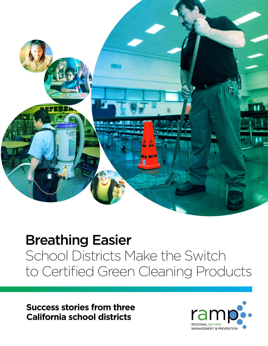

## Breathing Easier

School Districts Make the Switch to Certified Green Cleaning Products

**Success stories from three California school districts**

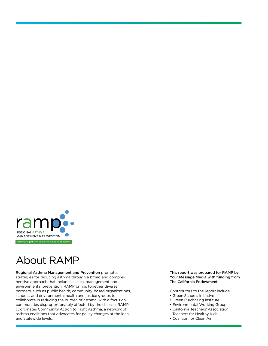

### About RAMP

Regional Asthma Management and Prevention promotes strategies for reducing asthma through a broad and comprehensive approach that includes clinical management and environmental prevention. RAMP brings together diverse partners, such as public health, community-based organizations, schools, and environmental health and justice groups to collaborate in reducing the burden of asthma, with a focus on communities disproportionately affected by the disease. RAMP coordinates Community Action to Fight Asthma, a network of asthma coalitions that advocates for policy changes at the local and statewide levels.

This report was prepared for RAMP by Your Message Media with funding from The California Endowment.

Contributors to the report include

- Green Schools Initiative
- Green Purchasing Institute
- Environmental Working Group
- California Teachers' Association, Teachers for Healthy Kids
- Coalition for Clean Air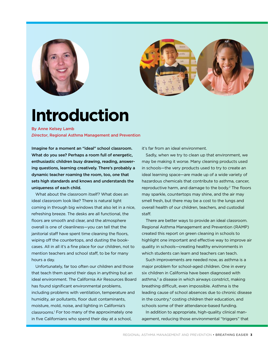



# **Introduction**

By Anne Kelsey Lamb *Director*, Regional Asthma Management and Prevention

Imagine for a moment an "ideal" school classroom. What do you see? Perhaps a room full of energetic, enthusiastic children busy drawing, reading, answering questions, learning creatively. There's probably a dynamic teacher roaming the room, too, one that sets high standards and knows and understands the uniqueness of each child.

What about the classroom itself? What does an ideal classroom look like? There is natural light coming in through big windows that also let in a nice, refreshing breeze. The desks are all functional, the floors are smooth and clear, and the atmosphere overall is one of cleanliness—you can tell that the janitorial staff have spent time cleaning the floors, wiping off the countertops, and dusting the bookcases. All in all it's a fine place for our children, not to mention teachers and school staff, to be for many hours a day.

Unfortunately, far too often our children and those that teach them spend their days in anything but an ideal environment. The California Air Resources Board has found significant environmental problems, including problems with ventilation, temperature and humidity, air pollutants, floor dust contaminants, moisture, mold, noise, and lighting in California's classrooms.1 For too many of the approximately one in five Californians who spend their day at a school,

it's far from an ideal environment.

Sadly, when we try to clean up that environment, we may be making it worse. Many cleaning products used in schools—the very products used to try to create an ideal learning space—are made up of a wide variety of hazardous chemicals that contribute to asthma, cancer, reproductive harm, and damage to the body.<sup>2</sup> The floors may sparkle, countertops may shine, and the air may smell fresh, but there may be a cost to the lungs and overall health of our children, teachers, and custodial staff.

There are better ways to provide an ideal classroom. Regional Asthma Management and Prevention (RAMP) created this report on green cleaning in schools to highlight one important and effective way to improve air quality in schools—creating healthy environments in which students can learn and teachers can teach.

Such improvements are needed now, as asthma is a major problem for school-aged children. One in every six children in California have been diagnosed with asthma,<sup>3</sup> a disease in which airways constrict, making breathing difficult, even impossible. Asthma is the leading cause of school absences due to chronic disease in the country,<sup>4</sup> costing children their education, and schools some of their attendance-based funding.

In addition to appropriate, high-quality clinical management, reducing those environmental "triggers" that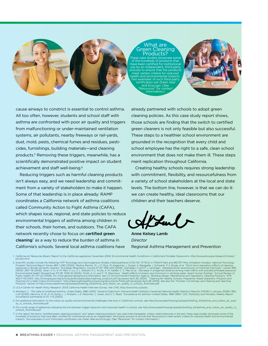

### t are<br>Ileaning Products?

These case studies showcase some of the hundreds of products that have been certified for institutional use by an independent, third-party ensure that the prod meet certain criteria for reduced alth and environmental impact examples of such third-pa certification are *Green Seal* and *EcoLogo*. (See "Resources" for cont information.)



cause airways to constrict is essential to control asthma. All too often, however, students and school staff with asthma are confronted with poor air quality and triggers from malfunctioning or under-maintained ventilation systems, air pollutants, nearby freeways or rail-yards, dust, mold, pests, chemical fumes and residues, pesticides, furnishings, building materials—and cleaning products.5 Removing these triggers, meanwhile, has a scientifically demonstrated positive impact on student achievement and staff well-being.<sup>6</sup>

Reducing triggers such as harmful cleaning products isn't always easy, and we need leadership and commitment from a variety of stakeholders to make it happen. Some of that leadership is in place already: RAMP coordinates a California network of asthma coalitions called Community Action to Fight Asthma (CAFA), which shapes local, regional, and state policies to reduce environmental triggers of asthma among children in their schools, their homes, and outdoors. The CAFA network recently chose to focus on certified green  $cleaning<sup>7</sup>$  as a way to reduce the burden of asthma in California's schools. Several local asthma coalitions have

already partnered with schools to adopt green cleaning policies. As this case study report shows, those schools are finding that the switch to certified green cleaners is not only feasible but also successful. These steps to a healthier school environment are grounded in the recognition that every child and school employee has the right to a safe, clean school environment that does not make them ill. These steps merit replication throughout California.

Creating healthy schools requires strong leadership with commitment, flexibility, and resourcefulness from a variety of school stakeholders at the local and state levels. The bottom line, however, is that we can do it: we can create healthy, ideal classrooms that our children and their teachers deserve.

Anne Kelsey Lamb *Director* Regional Asthma Management and Prevention

1. California Air Resources Board: Report to the California Legislature, November 2004. Environmental Health Conditions in California's Portable Classrooms. http://www.arb.ca.gov/research/indoor/ *pcs/pcs.htm.*

2. Scientific studies include the following: NTP Toxicology and Carcinogenesis Studies 2-Butoxyethanol (CAS NO. 111-76-2) in F344/N Rats and B6C3F1 Mice (Inhalation Studies). National Toxicology<br>Program Technical Report Se

*3. UCLA Center for Health Policy Research.* 2003 California Health Interview Survey*. Ask CHIS, http://www.chis.ucla.edu.* 

4. Akinbami, L. "The state of childhood asthma, United States, 1980–2005." Advance Data from Vital and Health Statistics (renamed National Health Statistics Reports [NHSR] in January 2008) (381):<br>1–24 (2006). Mannino, D. M Surveillance Summaries *51 (1): 1–13 (2002).* 

- *5. For additional information on the indoor air quality and environmental challenges that exist in California's schools, see http://www.calasthma.org/uploads/briefing\_kit/asthma\_and\_indoor\_air\_quality\_in\_schools\_footnotes.pdf.*
- 6. For a wide range of references indicating the link between trigger reduction and improved health in schools, see http://www.calasthma.org/uploads/briefing\_kit/asthma\_and\_indoor\_air\_quality\_in\_<br>Schools\_footnotes.pdf.
- *7. In this report the terms "certified green cleaning products" and "green cleaning products" are used interchangeably. Unless noted otherwise in the text, these case studies showcase some of the*  hundreds of products that have been certified for institutional use by an independent, third-party process to ensure that the products meet certain criteria for reduced health and environmental<br>impacts. Two examples of suc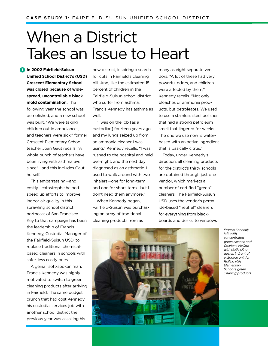# When a District Takes an Issue to Heart

**In 2002 Fairfield-Suisun 1Unified School District's (USD) Crescent Elementary School was closed because of widespread, uncontrollable black mold contamination.** The following year the school was demolished, and a new school was built. "We were taking children out in ambulances, and teachers were sick," former Crescent Elementary School teacher Joan Gaut recalls. "A whole bunch of teachers have been living with asthma ever since"—and this includes Gaut herself.

This embarrassing—and costly—catastrophe helped speed up efforts to improve indoor air quality in this sprawling school district northeast of San Francisco. Key to that campaign has been the leadership of Francis Kennedy, Custodial Manager of the Fairfield-Suisun USD, to replace traditional chemicalbased cleaners in schools with safer, less costly ones.

A genial, soft-spoken man, Francis Kennedy was highly motivated to switch to green cleaning products after arriving in Fairfield. The same budget crunch that had cost Kennedy his custodial services job with another school district the previous year was assailing his

new district, inspiring a search for cuts in Fairfield's cleaning bill. And, like the estimated 15 percent of children in the Fairfield-Suisun school district who suffer from asthma, Francis Kennedy has asthma as well.

"I was on the job [as a custodian] fourteen years ago, and my lungs seized up from an ammonia cleaner I was using," Kennedy recalls. "I was rushed to the hospital and held overnight, and the next day diagnosed as an asthmatic. I used to walk around with two inhalers—one for long-term and one for short-term—but I don't need them anymore."

When Kennedy began. Fairfield-Suisun was purchasing an array of traditional cleaning products from as

many as eight separate vendors. "A lot of these had very powerful odors, and children were affected by them," Kennedy recalls. "Not only bleaches or ammonia products, but petroleates. We used to use a stainless steel polisher that had a strong petroleum smell that lingered for weeks. The one we use now is waterbased with an active ingredient that is basically citrus."

Today, under Kennedy's direction, all cleaning products for the district's thirty schools are obtained through just one vendor, which markets a number of certified "green" cleaners. The Fairfield-Suisun USD uses the vendor's peroxide-based "neutral" cleaners for everything from blackboards and desks, to windows



*Francis Kennedy, left, with concentrated green cleaner, and Charlene McCoy, with static cling duster, in front of a storage unit for Rolling Hills Elementary School's green cleaning products.*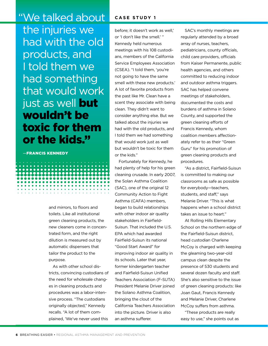"We talked about the injuries we had with the old products, and I told them we had something that would work just as well but wouldn't be toxic for them or the kids."

........................ ,,,,,,,,,,,,,,,,,,,,,,,,,,

—Francis Kennedy

and mirrors, to floors and toilets. Like all institutional green cleaning products, the new cleaners come in concentrated form, and the right dilution is measured out by automatic dispensers that tailor the product to the purpose.

As with other school districts, convincing custodians of the need for wholesale changes in cleaning products and procedures was a labor-intensive process. "The custodians originally objected," Kennedy recalls. "A lot of them complained, 'We've never used this

### **C a se s t udy 1**

before; it doesn't work as well,' or 'I don't like the smell.' " Kennedy held numerous meetings with his 108 custodians, members of the California Service Employees Association (CSEA). "I told them, 'you're not going to have the same smell with these new products.' A lot of favorite products from the past like Mr. Clean have a scent they associate with being clean. They didn't want to consider anything else. But we talked about the injuries we had with the old products, and I told them we had something that would work just as well but wouldn't be toxic for them or the kids."

Fortunately for Kennedy, he had plenty of help for his green cleaning crusade. In early 2007, the Solan Asthma Coalition (SAC), one of the original 12 Community Action to Fight Asthma (CAFA) members, began to build relationships with other indoor air quality stakeholders in Fairfield-Suisun. That included the U.S. EPA which had awarded Fairfield-Suisun its national "Good Start Award" for improving indoor air quality in its schools. Later that year, former kindergarten teacher and Fairfield-Suisun Unified Teachers Association (F-SUTA) President Melanie Driver joined the Solano Asthma Coalition, bringing the clout of the California Teachers Association into the picture. Driver is also an asthma sufferer.

SAC's monthly meetings are regularly attended by a broad array of nurses, teachers, pediatricians, county officials, child care providers, officials from Kaiser Permanente, public health agencies, and others committed to reducing indoor and outdoor asthma triggers. SAC has helped convene meetings of stakeholders, documented the costs and burdens of asthma in Solano County, and supported the green cleaning efforts of Francis Kennedy, whom coalition members affectionately refer to as their "Green Guru" for his promotion of green cleaning products and procedures.

"As a district, Fairfield-Suisun is committed to making our classrooms as safe as possible for everybody—teachers, students, and staff," says Melanie Driver. "This is what happens when a school district takes an issue to heart."

At Rolling Hills Elementary School on the northern edge of the Fairfield-Suisun district, head custodian Charlene McCoy is charged with keeping the gleaming two-year-old campus clean despite the presence of 530 students and several dozen faculty and staff. She's also sensitive to the issue of green cleaning products: like Joan Gaut, Francis Kennedy and Melanie Driver, Charlene McCoy suffers from asthma.

"These products are really easy to use," she points out as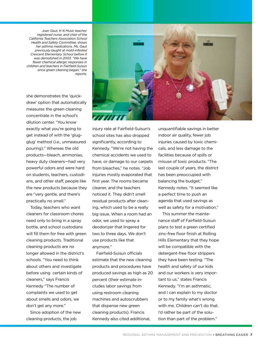*Joan Gaut, K–6 Music teacher, registered nurse, and chair of the California Teachers Association School Health and Safety Committee, shows her asthma medications. Ms. Gaut previously taught at mold-infested Crescent Elementary School before it was demolished in 2003. "We have fewer chemical allergic responses in children and teachers in Fairfield-Suisun since green cleaning began," she reports.*

she demonstrates the 'quickdraw' option that automatically measures the green cleaning concentrate in the school's dilution center. "You know exactly what you're going to get instead of with the 'glugglug' method (i.e., unmeasured pouring)." Whereas the old products—bleach, ammonias, heavy duty cleaners—had very powerful odors and were hard on students, teachers, custodians, and other staff, people like the new products because they are "very gentle, and there's practically no smell."

Today, teachers who want cleaners for classroom chores need only to bring in a spray bottle, and school custodians will fill them for free with green cleaning products. Traditional cleaning products are no longer allowed in the district's schools. "You need to think about others and investigate before using certain kinds of cleaners," says Francis Kennedy "The number of complaints we used to get about smells and odors, we don't get any more."

Since adoption of the new cleaning products, the job



injury rate at Fairfield-Suisun's school sites has also dropped significantly, according to Kennedy. "We're not having the chemical accidents we used to have, or damage to our carpets from bleaches," he notes. "Job injuries mostly evaporated that first year. The rooms became cleaner, and the teachers noticed it. They didn't smell residual products after cleaning, which used to be a really big issue. When a room had an odor, we used to spray a deodorizer that lingered for two to three days. We don't use products like that anymore."

Fairfield-Suisun officials estimate that the new cleaning products and procedures have produced savings as high as 20 percent (their estimate includes labor savings from using restroom cleaning machines and autoscrubbers that dispense new green cleaning products). Francis Kennedy also cited additional,

unquantifiable savings in better indoor air quality, fewer job injuries caused by toxic chemicals, and less damage to the facilities because of spills or misuse of toxic products. "The last couple of years, the district has been preoccupied with balancing the budget," Kennedy notes. "It seemed like a perfect time to push an agenda that used savings as well as safety for a motivation." This summer the mainte-

nance staff of Fairfield-Suisun plans to test a green certified zinc-free floor finish at Rolling Hills Elementary that they hope will be compatible with the detergent-free floor strippers they have been testing. "The health and safety of our kids and our workers is very important to us," states Francis Kennedy. "I'm an asthmatic, and I can explain to my doctor or to my family what's wrong with me. Children can't do that. I'd rather be part of the solution than part of the problem."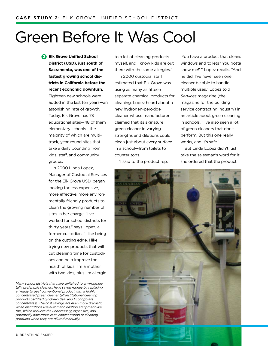## Green Before It Was Cool

**Elk Grove Unified School 2 District (USD), just south of Sacramento, was one of the fastest growing school districts in California before the recent economic downturn.**

Eighteen new schools were added in the last ten years—an astonishing rate of growth. Today, Elk Grove has 73 educational sites—48 of them elementary schools—the majority of which are multitrack, year-round sites that take a daily pounding from kids, staff, and community groups.

In 2000 Linda Lopez, Manager of Custodial Services for the Elk Grove USD, began looking for less expensive, more effective, more environmentally friendly products to clean the growing number of sites in her charge. "I've worked for school districts for thirty years," says Lopez, a former custodian. "I like being on the cutting edge. I like trying new products that will cut cleaning time for custodians and help improve the health of kids. I'm a mother with two kids, plus I'm allergic

*Many school districts that have switched to environmentally preferable cleaners have saved money by replacing a "ready to use" conventional product with a highly concentrated green cleaner (all institutional cleaning products certified by Green Seal and EcoLogo are concentrates). The cost savings are even more dramatic when institutions use automatic dilution equipment like this, which reduces the unnecessary, expensive, and potentially hazardous over-concentration of cleaning products when they are diluted manually.* 

to a lot of cleaning products myself, and I know kids are out there with the same allergies."

In 2000 custodial staff estimated that Elk Grove was using as many as fifteen separate chemical products for cleaning. Lopez heard about a new hydrogen-peroxide cleaner whose manufacturer claimed that its signature green cleaner in varying strengths and dilutions could clean just about every surface in a school—from toilets to counter tops.

"I said to the product rep,

'You have a product that cleans windows and toilets? You gotta show me!' " Lopez recalls. "And he did. I've never seen one cleaner be able to handle multiple uses," Lopez told *Services* magazine (the magazine for the building service contracting industry) in an article about green cleaning in schools. "I've also seen a lot of green cleaners that don't perform. But this one really works, and it's safe."

But Linda Lopez didn't just take the salesman's word for it: she ordered that the product

![](_page_7_Picture_11.jpeg)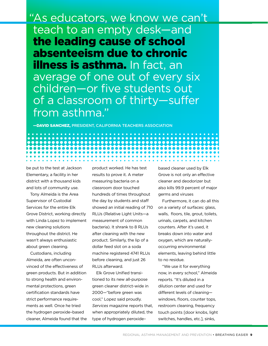"As educators, we know we can't teach to an empty desk—and the leading cause of school absenteeism due to chronic **illness is asthma.** In fact, an average of one out of every six children—or five students out of a classroom of thirty—suffer from asthma."

—David Sanchez, president, California Teachers Association

be put to the test at Jackson Elementary, a facility in her district with a thousand kids and lots of community use.

Tony Almeida is the Area Supervisor of Custodial Services for the entire Elk Grove District, working directly with Linda Lopez to implement new cleaning solutions throughout the district. He wasn't always enthusiastic about green cleaning.

Custodians, including Almeida, are often unconvinced of the effectiveness of green products. But in addition to strong health and environmental protections, green certification standards have strict performance requirements as well. Once he tried the hydrogen peroxide–based cleaner, Almeida found that the product worked. He has test results to prove it. A meter measuring bacteria on a classroom door touched hundreds of times throughout the day by students and staff showed an initial reading of 710 RLUs (Relative Light Units—a measurement of common bacteria). It shrank to 8 RLUs after cleaning with the new product. Similarly, the lip of a dollar feed slot on a soda machine registered 4741 RLUs before cleaning, and just 26 RLUs afterward.

Elk Grove Unified transitioned to its new all-purpose green cleaner district-wide in 2000—"before green was cool," Lopez said proudly. *Services* magazine reports that, when appropriately diluted, the type of hydrogen peroxide–

based cleaner used by Elk Grove is not only an effective cleaner and deodorizer but also kills 99.9 percent of major germs and viruses

Furthermore, it can do all this on a variety of surfaces: glass, walls, floors, tile, grout, toilets, urinals, carpets, and kitchen counters. After it's used, it breaks down into water and oxygen, which are naturallyoccurring environmental elements, leaving behind little to no residue.

"We use it for everything now, in every school," Almeida reports. "It's diluted in a dilution center and used for different levels of cleaning windows, floors, counter tops, restroom cleaning, frequency touch points [door knobs, light switches, handles, etc.], sinks,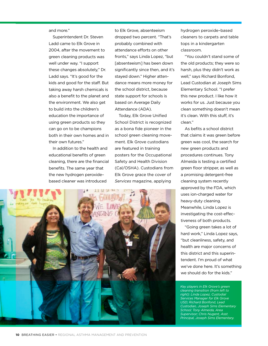#### and more."

Superintendent Dr. Steven Ladd came to Elk Grove in 2004, after the movement to green cleaning products was well under way. "I support these changes absolutely," Dr. Ladd says. "It's good for the kids and good for the staff. But taking away harsh chemicals is also a benefit to the planet and the environment. We also get to build into the children's education the importance of using green products so they can go on to be champions both in their own homes and in their own futures."

In addition to the health and educational benefits of green cleaning, there are the financial benefits. The same year that the new hydrogen peroxide– based cleaner was introduced

to Elk Grove, absenteeism dropped two percent. "That's probably combined with attendance efforts on other fronts," says Linda Lopez, "but [absenteeism] has been down significantly since then, and it's stayed down." Higher attendance means more money for the school district, because state support for schools is based on Average Daily Attendance (ADA).

Today, Elk Grove Unified School District is recognized as a bona fide pioneer in the school green cleaning movement. Elk Grove custodians are featured in training posters for the Occupational Safety and Health Division (Cal/OSHA). Custodians from Elk Grove grace the cover of *Services* magazine, applying

![](_page_9_Picture_5.jpeg)

hydrogen peroxide–based cleaners to carpets and table tops in a kindergarten classroom.

"You couldn't stand some of the old products; they were so harsh, plus they didn't work as well," says Richard Bonfond, Lead Custodian at Joseph Sims Elementary School. "I prefer this new product. I like how it works for us. Just because you clean something doesn't mean it's clean. With this stuff, it's clean."

As befits a school district that claims it was green before green was cool, the search for new green products and procedures continues. Tony Almeida is testing a certified green floor stripper, as well as a promising detergent-free cleaning system recently approved by the FDA, which uses ion-charged water for heavy-duty cleaning. Meanwhile, Linda Lopez is investigating the cost-effectiveness of both products.

"Going green takes a lot of hard work," Linda Lopez says, "but cleanliness, safety, and health are major concerns of this district and this superintendent. I'm proud of what we've done here. It's something we should do for the kids."

*Key players in Elk Grove's green cleaning transition (from left to right): Linda Lopez, Custodial Services Manager for Elk Grove USD; Richard Bonfond, Lead Custodian, Joseph Sims Elementary School; Tony Almeida, Area Supervisor; Chris Nugent, Asst. Principal, Joseph Sims Elementary.*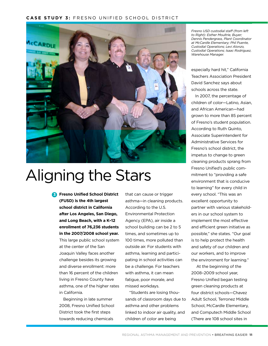### **CASE STUDY 3: FRESNO UNIFIED SCHOOL DISTRICT**

![](_page_10_Picture_1.jpeg)

# Aligning the Stars

**Fresno Unified School District 3 (FUSD) is the 4th largest school district in California after Los Angeles, San Diego, and Long Beach, with a K–12 enrollment of 76,236 students in the 2007/2008 school year.** This large public school system at the center of the San Joaquin Valley faces another challenge besides its growing and diverse enrollment: more than 16 percent of the children living in Fresno County have asthma, one of the higher rates in California.

Beginning in late summer 2008, Fresno Unified School District took the first steps towards reducing chemicals

that can cause or trigger asthma—in cleaning products. According to the U.S. Environmental Protection Agency (EPA), air inside a school building can be 2 to 5 times, and sometimes up to 100 times, more polluted than outside air. For students with asthma, learning and participating in school activities can be a challenge. For teachers with asthma, it can mean fatigue, poor morale, and missed workdays.

"Students are losing thousands of classroom days due to asthma and other problems linked to indoor air quality, and children of color are being

*Fresno USD custodial staff (from left to Right): Esther Moultrie, Buyer; Dennis Pendergrass, Plant Coordinator at McCardle Elementary; Phil Puente, Custodial Operations; Levi Alonzo, Custodial Operations; Isaac Rodriguez, Warehouse Manager.* 

especially hard hit," California Teachers Association President David Sanchez says about schools across the state.

In 2007, the percentage of children of color—Latino, Asian, and African American—had grown to more than 85 percent of Fresno's student population. According to Ruth Quinto, Associate Superintendent for Administrative Services for Fresno's school district, the impetus to change to green cleaning products sprang from Fresno Unified's public commitment to "providing a safe environment that is conducive to learning" for every child in every school. "This was an excellent opportunity to partner with various stakeholders in our school system to implement the most effective and efficient green initiative as possible," she states. "Our goal is to help protect the health and safety of our children and our workers, and to improve the environment for learning."

 At the beginning of the 2008–2009 school year, Fresno Unified began testing green cleaning products at four district schools—Chavez Adult School, Terronez Middle School, McCardle Elementary, and Computech Middle School (There are 108 school sites in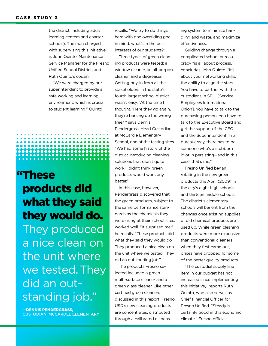the district, including adult learning centers and charter schools). The man charged with supervising this initiative is John Quinto, Maintenance Service Manager for the Fresno Unified School District, and Ruth Quinto's cousin.

"We were charged by our superintendent to provide a safe working and learning environment, which is crucial to student learning," Quinto

......................

### "These products did what they said they would do. They produced a nice clean on the unit where we tested. They did an outstanding job."

—Dennis Pendergrass, custodian, McCardle Elementary recalls. "We try to do things here with one overriding goal in mind: what's in the best interests of our students?"

Three types of green cleaning products were tested: a window cleaner, an all-purpose cleaner, and a degreaser. Getting buy-in from all the stakeholders in the state's fourth largest school district wasn't easy. "At the time I thought, 'Here they go again, they're barking up the wrong tree,' " says Dennis Pendergrass, Head Custodian at McCardle Elementary School, one of the testing sites. "We had some history of the district introducing cleaning solutions that didn't quite work. I didn't think green products would work any better."

In this case, however, Pendergrass discovered that the green products, subject to the same performance standards as the chemicals they were using at their school sites, worked well. "It surprised me," he recalls. "These products did what they said they would do. They produced a nice clean on the unit where we tested. They did an outstanding job."

The products Fresno selected included a green multi-surface cleaner and a green glass cleaner. Like other certified green cleaners discussed in this report, Fresno USD's new cleaning products are concentrates, distributed through a calibrated dispensing system to minimize handling and waste, and maximize effectiveness.

Guiding change through a complicated school bureaucracy "is all about process," concludes John Quinto. "It's about your networking skills, the ability to align the stars. You have to partner with the custodians in SEIU [Service Employees International Union]. You have to talk to the purchasing person. You have to talk to the Executive Board and get the support of the CFO and the Superintendent. In a bureaucracy, there has to be someone who's a stubborn idiot in persisting—and in this case, that's me."

Fresno Unified began rotating in the new green products this April (2009) in the city's eight high schools and thirteen middle schools. The district's elementary schools will benefit from the changes once existing supplies of old chemical products are used up. While green cleaning products were more expensive than conventional cleaners when they first came out, prices have dropped for some of the better quality products.

"The custodial supply line item in our budget has not increased since implementing this initiative," reports Ruth Quinto, who also serves as Chief Financial Officer for Fresno Unified. "Steady is certainly good in this economic climate." Fresno officials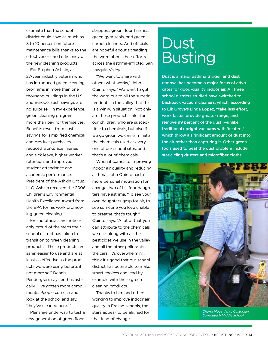estimate that the school district could save as much as 8 to 10 percent on future maintenance bills thanks to the effectiveness and efficiency of the new cleaning products.

For Stephen Ashkin, a 27-year industry veteran who has introduced green cleaning programs in more than one thousand buildings in the U.S. and Europe, such savings are no surprise. "In my experience, green cleaning programs more than pay for themselves. Benefits result from cost savings for simplified chemical and product purchases, reduced workplace injuries and sick leave, higher worker retention, and improved student attendance and academic performance." President of the Ashkin Group, LLC, Ashkin received the 2006 Children's Environmental Health Excellence Award from the EPA for his work promoting green cleaning.

Fresno officials are noticeably proud of the steps their school district has taken to transition to green cleaning products. "These products are safer, easier to use and are at least as effective as the products we were using before, if not more so," Dennis Pendergrass says enthusiastically. "I've gotten more compliments. People come in and look at the school and say, 'they've cleaned here.' "

Plans are underway to test a new generation of green floor

strippers, green floor finishes, green gym seals, and green carpet cleaners. And officials are hopeful about spreading the word about their efforts across the asthma-inflicted San Joaquin Valley.

"We want to share with others what works," John Quinto says. "We want to get the word out to all the superintendents in the valley that this is a win-win situation. Not only are these products safer for our children, who are susceptible to chemicals, but also if we go green we can eliminate the chemicals used at every one of our school sites, and that's a lot of chemicals.

When it comes to improving indoor air quality and reducing asthma, John Quinto had a more personal motivation for change: two of his four daughters have asthma. "To see your own daughters gasp for air, to see someone you love unable to breathe, that's tough," Quinto says. "A lot of that you can attribute to the chemicals we use, along with all the pesticides we use in the valley and all the other pollutants… the cars…it's overwhelming. I think it's good that our school district has been able to make smart choices and lead by example with these green cleaning products."

Thanks to him and others working to improve indoor air quality in Fresno schools, the stars appear to be aligned for that kind of change.

## Dust Busting

Dust is a major asthma trigger, and dust removal has become a major focus of advocates for good-quality indoor air. All three school districts studied have switched to backpack vacuum cleaners, which, according to Elk Grove's Linda Lopez, "take less effort, work faster, provide greater range, and remove 99 percent of the dust"—unlike traditional upright vacuums with 'beaters,' which throw a significant amount of dust into the air rather than capturing it. Other green tools used to beat the dust problem include static cling dusters and microfiber cloths.

![](_page_12_Picture_10.jpeg)

*Chong Moua Vang, Custodian, Computech Middle School*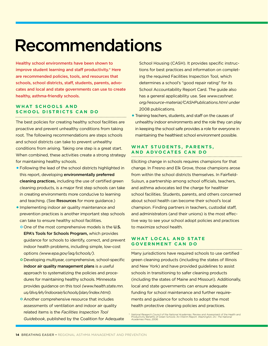# Recommendations

Healthy school environments have been shown to improve student learning and staff productivity.\* Here are recommended policies, tools, and resources that schools, school districts, staff, students, parents, advocates and local and state governments can use to create healthy, asthma-friendly schools.

### **WHAT SCHOOLS AND S c hoo l D is t r ic t s Can Do**

The best policies for creating healthy school facilities are proactive and prevent unhealthy conditions from taking root. The following recommendations are steps schools and school districts can take to prevent unhealthy conditions from arising. Taking one step is a great start. When combined, these activities create a strong strategy for maintaining healthy schools.

- •Following the lead of the school districts highlighted in this report, developing environmentally preferred cleaning practices, including the use of certified green cleaning products, is a major first step schools can take in creating environments more conducive to learning and teaching. (See Resources for more guidance.)
- •Implementing indoor air quality maintenance and prevention practices is another important step schools can take to ensure healthy school facilities.
	- O One of the most comprehensive models is the U.S. EPA's Tools for Schools Program, which provides guidance for schools to identify, correct, and prevent indoor health problems, including simple, low-cost options *(www.epa.gov/iaq/schools/).*
	- o Developing multiyear, comprehensive, school-specific indoor air quality management plans is a useful approach to systematizing the policies and procedures for maintaining healthy schools. Minnesota provides guidance on this tool *(www.health.state.mn. us/divs/eh/indoorair/schools/plan/index.html).*
	- **O** Another comprehensive resource that includes assessments of ventilation and indoor air quality related items is the *Facilities Inspection Tool Guidebook*, published by the Coalition for Adequate

School Housing (CASH). It provides specific instructions for best practices and information on completing the required Facilities Inspection Tool, which determines a school's "good repair rating" for its School Accountability Report Card. The guide also has a general applicability use. See *www.cashnet. org/resource-material/CASHPublications.html* under 2008 publications*.* 

•Training teachers, students, and staff on the causes of unhealthy indoor environments and the role they can play in keeping the school safe provides a role for everyone in maintaining the healthiest school environment possible.

#### WHAT STUDENTS, PARENTS, **a n d Advo c at es Can Do**

Eliciting change in schools requires champions for that change. In Fresno and Elk Grove, those champions arose from within the school districts themselves. In Fairfield-Suisun, a partnership among school officials, teachers, and asthma advocates led the charge for healthier school facilities. Students, parents, and others concerned about school health can become their school's local champion. Finding partners in teachers, custodial staff, and administrators (and their unions) is the most effective way to see your school adopt policies and practices to maximize school health.

### **WHAT LOCAL AND STATE Gov e rnm e nt C AN D O**

Many jurisdictions have required schools to use certified green cleaning products (including the states of Illinois and New York) and have provided guidelines to assist schools in transitioning to safer cleaning products (including the states of Maine and Missouri). Additionally, local and state governments can ensure adequate funding for school maintenance and further requirements and guidance for schools to adopt the most health protective cleaning policies and practices.

<sup>\*</sup> National Research Council of the National Academies. Review and Assessment of the Health and<br>Productivity Benefits of Green Schools: An Interim Report. Washington, DC: The National<br>Academies Press, 2006.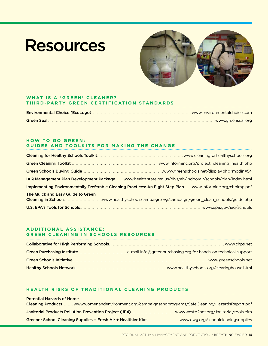# **Resources**

![](_page_14_Picture_1.jpeg)

### **WHAT IS A 'GREEN' CLEANER? T h i r d -Party Gr ee n C e r t ific at i on Stan da r ds**

### **HOW TO GO GREEN: GUIDES AND TOOLKITS FOR MAKING THE CHANGE**

|                                   | IAQ Management Plan Development Packagewww.health.state.mn.us/divs/eh/indoorair/schools/plan/index.html      |
|-----------------------------------|--------------------------------------------------------------------------------------------------------------|
|                                   | Implementing Environmentally Preferable Cleaning Practices: An Eight Step Plan  www.informinc.org/chpimp.pdf |
| The Quick and Easy Guide to Green |                                                                                                              |
|                                   |                                                                                                              |

### **A D D I T I ONA L A S S I S TAN C E : G R E E N CLE AN I N G I N SC HOO LS R E S O U R CES**

| .www.healthyschools.org/clearinghouse.html |
|--------------------------------------------|

### **He a lth Risks o f T r a di t i ona l C le a n i n g Pro duc t s**

| <b>Potential Hazards of Home</b>                                                                  |  |
|---------------------------------------------------------------------------------------------------|--|
| Cleaning Products www.womenandenvironment.org/campaignsandprograms/SafeCleaning/HazardsReport.pdf |  |
|                                                                                                   |  |
|                                                                                                   |  |